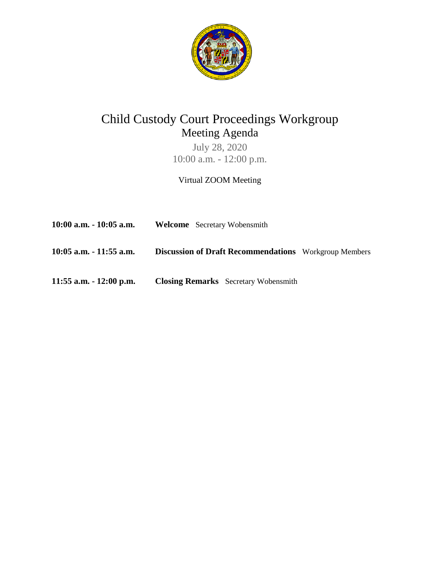

# Child Custody Court Proceedings Workgroup Meeting Agenda

July 28, 2020 10:00 a.m. - 12:00 p.m.

Virtual ZOOM Meeting

| 10:00 a.m. - 10:05 a.m. | <b>Welcome</b> Secretary Wobensmith                          |  |
|-------------------------|--------------------------------------------------------------|--|
| 10:05 a.m. - 11:55 a.m. | <b>Discussion of Draft Recommendations</b> Workgroup Members |  |
| 11:55 a.m. - 12:00 p.m. | <b>Closing Remarks</b> Secretary Wobensmith                  |  |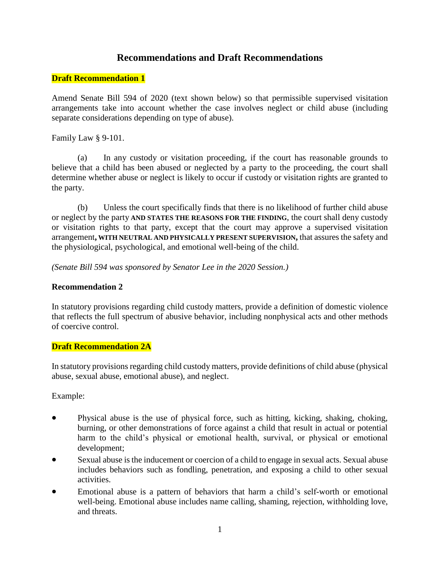# **Recommendations and Draft Recommendations**

## **Draft Recommendation 1**

Amend Senate Bill 594 of 2020 (text shown below) so that permissible supervised visitation arrangements take into account whether the case involves neglect or child abuse (including separate considerations depending on type of abuse).

Family Law § 9-101.

(a) In any custody or visitation proceeding, if the court has reasonable grounds to believe that a child has been abused or neglected by a party to the proceeding, the court shall determine whether abuse or neglect is likely to occur if custody or visitation rights are granted to the party.

(b) Unless the court specifically finds that there is no likelihood of further child abuse or neglect by the party **AND STATES THE REASONS FOR THE FINDING**, the court shall deny custody or visitation rights to that party, except that the court may approve a supervised visitation arrangement**, WITH NEUTRAL AND PHYSICALLY PRESENT SUPERVISION,** that assures the safety and the physiological, psychological, and emotional well-being of the child.

*(Senate Bill 594 was sponsored by Senator Lee in the 2020 Session.)*

## **Recommendation 2**

In statutory provisions regarding child custody matters, provide a definition of domestic violence that reflects the full spectrum of abusive behavior, including nonphysical acts and other methods of coercive control.

#### **Draft Recommendation 2A**

In statutory provisions regarding child custody matters, provide definitions of child abuse (physical abuse, sexual abuse, emotional abuse), and neglect.

Example:

- Physical abuse is the use of physical force, such as hitting, kicking, shaking, choking, burning, or other demonstrations of force against a child that result in actual or potential harm to the child's physical or emotional health, survival, or physical or emotional development;
- Sexual abuse is the inducement or coercion of a child to engage in sexual acts. Sexual abuse includes behaviors such as fondling, penetration, and exposing a child to other sexual activities.
- Emotional abuse is a pattern of behaviors that harm a child's self-worth or emotional well-being. Emotional abuse includes name calling, shaming, rejection, withholding love, and threats.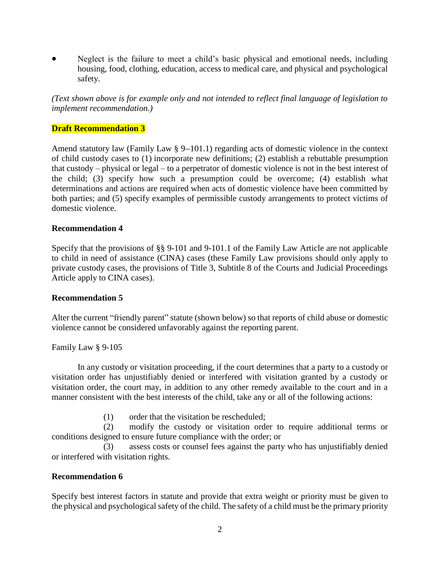Neglect is the failure to meet a child's basic physical and emotional needs, including housing, food, clothing, education, access to medical care, and physical and psychological safety.

*(Text shown above is for example only and not intended to reflect final language of legislation to implement recommendation.)* 

#### **Draft Recommendation 3**

Amend statutory law (Family Law  $\S 9-101.1$ ) regarding acts of domestic violence in the context of child custody cases to (1) incorporate new definitions; (2) establish a rebuttable presumption that custody – physical or legal – to a perpetrator of domestic violence is not in the best interest of the child; (3) specify how such a presumption could be overcome; (4) establish what determinations and actions are required when acts of domestic violence have been committed by both parties; and (5) specify examples of permissible custody arrangements to protect victims of domestic violence.

#### **Recommendation 4**

Specify that the provisions of §§ 9-101 and 9-101.1 of the Family Law Article are not applicable to child in need of assistance (CINA) cases (these Family Law provisions should only apply to private custody cases, the provisions of Title 3, Subtitle 8 of the Courts and Judicial Proceedings Article apply to CINA cases).

#### **Recommendation 5**

Alter the current "friendly parent" statute (shown below) so that reports of child abuse or domestic violence cannot be considered unfavorably against the reporting parent.

Family Law § 9-105

In any custody or visitation proceeding, if the court determines that a party to a custody or visitation order has unjustifiably denied or interfered with visitation granted by a custody or visitation order, the court may, in addition to any other remedy available to the court and in a manner consistent with the best interests of the child, take any or all of the following actions:

(1) order that the visitation be rescheduled;

(2) modify the custody or visitation order to require additional terms or conditions designed to ensure future compliance with the order; or

(3) assess costs or counsel fees against the party who has unjustifiably denied or interfered with visitation rights.

#### **Recommendation 6**

Specify best interest factors in statute and provide that extra weight or priority must be given to the physical and psychological safety of the child. The safety of a child must be the primary priority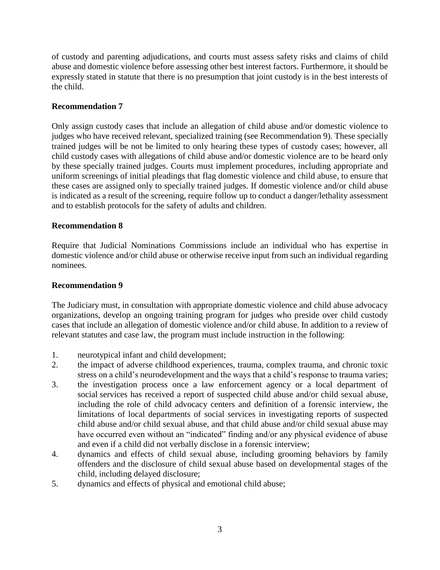of custody and parenting adjudications, and courts must assess safety risks and claims of child abuse and domestic violence before assessing other best interest factors. Furthermore, it should be expressly stated in statute that there is no presumption that joint custody is in the best interests of the child.

# **Recommendation 7**

Only assign custody cases that include an allegation of child abuse and/or domestic violence to judges who have received relevant, specialized training (see Recommendation 9). These specially trained judges will be not be limited to only hearing these types of custody cases; however, all child custody cases with allegations of child abuse and/or domestic violence are to be heard only by these specially trained judges. Courts must implement procedures, including appropriate and uniform screenings of initial pleadings that flag domestic violence and child abuse, to ensure that these cases are assigned only to specially trained judges. If domestic violence and/or child abuse is indicated as a result of the screening, require follow up to conduct a danger/lethality assessment and to establish protocols for the safety of adults and children.

# **Recommendation 8**

Require that Judicial Nominations Commissions include an individual who has expertise in domestic violence and/or child abuse or otherwise receive input from such an individual regarding nominees.

#### **Recommendation 9**

The Judiciary must, in consultation with appropriate domestic violence and child abuse advocacy organizations, develop an ongoing training program for judges who preside over child custody cases that include an allegation of domestic violence and/or child abuse. In addition to a review of relevant statutes and case law, the program must include instruction in the following:

- 1. neurotypical infant and child development;
- 2. the impact of adverse childhood experiences, trauma, complex trauma, and chronic toxic stress on a child's neurodevelopment and the ways that a child's response to trauma varies;
- 3. the investigation process once a law enforcement agency or a local department of social services has received a report of suspected child abuse and/or child sexual abuse, including the role of child advocacy centers and definition of a forensic interview, the limitations of local departments of social services in investigating reports of suspected child abuse and/or child sexual abuse, and that child abuse and/or child sexual abuse may have occurred even without an "indicated" finding and/or any physical evidence of abuse and even if a child did not verbally disclose in a forensic interview;
- 4. dynamics and effects of child sexual abuse, including grooming behaviors by family offenders and the disclosure of child sexual abuse based on developmental stages of the child, including delayed disclosure;
- 5. dynamics and effects of physical and emotional child abuse;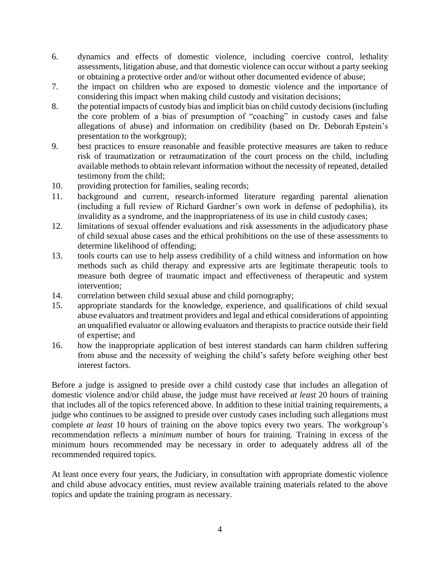- 6. dynamics and effects of domestic violence, including coercive control, lethality assessments, litigation abuse, and that domestic violence can occur without a party seeking or obtaining a protective order and/or without other documented evidence of abuse;
- 7. the impact on children who are exposed to domestic violence and the importance of considering this impact when making child custody and visitation decisions;
- 8. the potential impacts of custody bias and implicit bias on child custody decisions (including the core problem of a bias of presumption of "coaching" in custody cases and false allegations of abuse) and information on credibility (based on Dr. Deborah Epstein's presentation to the workgroup);
- 9. best practices to ensure reasonable and feasible protective measures are taken to reduce risk of traumatization or retraumatization of the court process on the child, including available methods to obtain relevant information without the necessity of repeated, detailed testimony from the child;
- 10. providing protection for families, sealing records;
- 11. background and current, research-informed literature regarding parental alienation (including a full review of Richard Gardner's own work in defense of pedophilia), its invalidity as a syndrome, and the inappropriateness of its use in child custody cases;
- 12. limitations of sexual offender evaluations and risk assessments in the adjudicatory phase of child sexual abuse cases and the ethical prohibitions on the use of these assessments to determine likelihood of offending;
- 13. tools courts can use to help assess credibility of a child witness and information on how methods such as child therapy and expressive arts are legitimate therapeutic tools to measure both degree of traumatic impact and effectiveness of therapeutic and system intervention;
- 14. correlation between child sexual abuse and child pornography;
- 15. appropriate standards for the knowledge, experience, and qualifications of child sexual abuse evaluators and treatment providers and legal and ethical considerations of appointing an unqualified evaluator or allowing evaluators and therapists to practice outside their field of expertise; and
- 16. how the inappropriate application of best interest standards can harm children suffering from abuse and the necessity of weighing the child's safety before weighing other best interest factors.

Before a judge is assigned to preside over a child custody case that includes an allegation of domestic violence and/or child abuse, the judge must have received *at least* 20 hours of training that includes all of the topics referenced above. In addition to these initial training requirements, a judge who continues to be assigned to preside over custody cases including such allegations must complete *at least* 10 hours of training on the above topics every two years. The workgroup's recommendation reflects a *minimum* number of hours for training. Training in excess of the minimum hours recommended may be necessary in order to adequately address all of the recommended required topics.

At least once every four years, the Judiciary, in consultation with appropriate domestic violence and child abuse advocacy entities, must review available training materials related to the above topics and update the training program as necessary.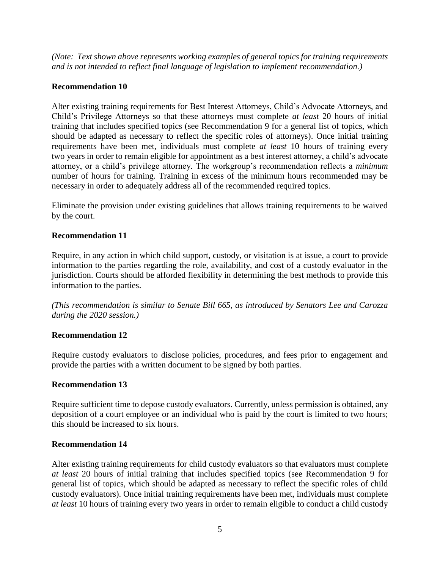*(Note: Text shown above represents working examples of general topics for training requirements and is not intended to reflect final language of legislation to implement recommendation.)*

## **Recommendation 10**

Alter existing training requirements for Best Interest Attorneys, Child's Advocate Attorneys, and Child's Privilege Attorneys so that these attorneys must complete *at least* 20 hours of initial training that includes specified topics (see Recommendation 9 for a general list of topics, which should be adapted as necessary to reflect the specific roles of attorneys). Once initial training requirements have been met, individuals must complete *at least* 10 hours of training every two years in order to remain eligible for appointment as a best interest attorney, a child's advocate attorney, or a child's privilege attorney. The workgroup's recommendation reflects a *minimum* number of hours for training. Training in excess of the minimum hours recommended may be necessary in order to adequately address all of the recommended required topics.

Eliminate the provision under existing guidelines that allows training requirements to be waived by the court.

## **Recommendation 11**

Require, in any action in which child support, custody, or visitation is at issue, a court to provide information to the parties regarding the role, availability, and cost of a custody evaluator in the jurisdiction. Courts should be afforded flexibility in determining the best methods to provide this information to the parties.

*(This recommendation is similar to Senate Bill 665, as introduced by Senators Lee and Carozza during the 2020 session.)*

#### **Recommendation 12**

Require custody evaluators to disclose policies, procedures, and fees prior to engagement and provide the parties with a written document to be signed by both parties.

#### **Recommendation 13**

Require sufficient time to depose custody evaluators. Currently, unless permission is obtained, any deposition of a court employee or an individual who is paid by the court is limited to two hours; this should be increased to six hours.

#### **Recommendation 14**

Alter existing training requirements for child custody evaluators so that evaluators must complete *at least* 20 hours of initial training that includes specified topics (see Recommendation 9 for general list of topics, which should be adapted as necessary to reflect the specific roles of child custody evaluators). Once initial training requirements have been met, individuals must complete *at least* 10 hours of training every two years in order to remain eligible to conduct a child custody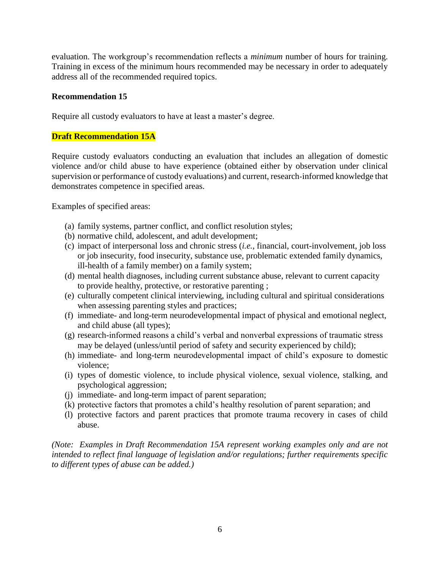evaluation. The workgroup's recommendation reflects a *minimum* number of hours for training. Training in excess of the minimum hours recommended may be necessary in order to adequately address all of the recommended required topics.

## **Recommendation 15**

Require all custody evaluators to have at least a master's degree.

## **Draft Recommendation 15A**

Require custody evaluators conducting an evaluation that includes an allegation of domestic violence and/or child abuse to have experience (obtained either by observation under clinical supervision or performance of custody evaluations) and current, research-informed knowledge that demonstrates competence in specified areas.

Examples of specified areas:

- (a) family systems, partner conflict, and conflict resolution styles;
- (b) normative child, adolescent, and adult development;
- (c) impact of interpersonal loss and chronic stress (*i.e.,* financial, court-involvement, job loss or job insecurity, food insecurity, substance use, problematic extended family dynamics, ill-health of a family member) on a family system;
- (d) mental health diagnoses, including current substance abuse, relevant to current capacity to provide healthy, protective, or restorative parenting ;
- (e) culturally competent clinical interviewing, including cultural and spiritual considerations when assessing parenting styles and practices;
- (f) immediate- and long-term neurodevelopmental impact of physical and emotional neglect, and child abuse (all types);
- (g) research-informed reasons a child's verbal and nonverbal expressions of traumatic stress may be delayed (unless/until period of safety and security experienced by child);
- (h) immediate- and long-term neurodevelopmental impact of child's exposure to domestic violence;
- (i) types of domestic violence, to include physical violence, sexual violence, stalking, and psychological aggression;
- (j) immediate- and long-term impact of parent separation;
- (k) protective factors that promotes a child's healthy resolution of parent separation; and
- (l) protective factors and parent practices that promote trauma recovery in cases of child abuse.

*(Note: Examples in Draft Recommendation 15A represent working examples only and are not intended to reflect final language of legislation and/or regulations; further requirements specific to different types of abuse can be added.)*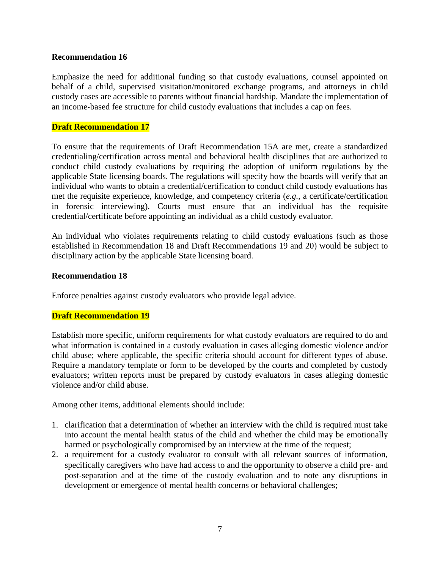#### **Recommendation 16**

Emphasize the need for additional funding so that custody evaluations, counsel appointed on behalf of a child, supervised visitation/monitored exchange programs, and attorneys in child custody cases are accessible to parents without financial hardship. Mandate the implementation of an income-based fee structure for child custody evaluations that includes a cap on fees.

#### **Draft Recommendation 17**

To ensure that the requirements of Draft Recommendation 15A are met, create a standardized credentialing/certification across mental and behavioral health disciplines that are authorized to conduct child custody evaluations by requiring the adoption of uniform regulations by the applicable State licensing boards. The regulations will specify how the boards will verify that an individual who wants to obtain a credential/certification to conduct child custody evaluations has met the requisite experience, knowledge, and competency criteria (*e.g.*, a certificate/certification in forensic interviewing). Courts must ensure that an individual has the requisite credential/certificate before appointing an individual as a child custody evaluator.

An individual who violates requirements relating to child custody evaluations (such as those established in Recommendation 18 and Draft Recommendations 19 and 20) would be subject to disciplinary action by the applicable State licensing board.

#### **Recommendation 18**

Enforce penalties against custody evaluators who provide legal advice.

#### **Draft Recommendation 19**

Establish more specific, uniform requirements for what custody evaluators are required to do and what information is contained in a custody evaluation in cases alleging domestic violence and/or child abuse; where applicable, the specific criteria should account for different types of abuse. Require a mandatory template or form to be developed by the courts and completed by custody evaluators; written reports must be prepared by custody evaluators in cases alleging domestic violence and/or child abuse.

Among other items, additional elements should include:

- 1. clarification that a determination of whether an interview with the child is required must take into account the mental health status of the child and whether the child may be emotionally harmed or psychologically compromised by an interview at the time of the request;
- 2. a requirement for a custody evaluator to consult with all relevant sources of information, specifically caregivers who have had access to and the opportunity to observe a child pre- and post-separation and at the time of the custody evaluation and to note any disruptions in development or emergence of mental health concerns or behavioral challenges;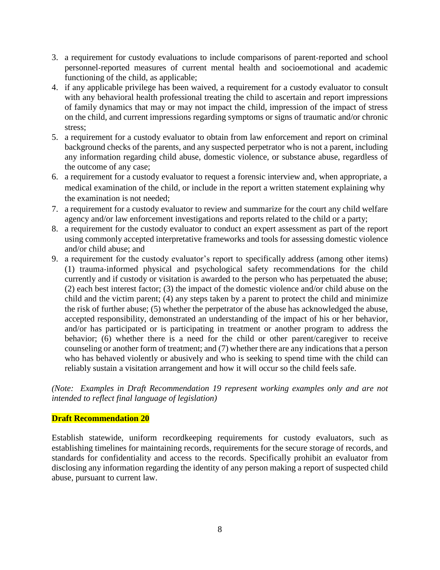- 3. a requirement for custody evaluations to include comparisons of parent-reported and school personnel-reported measures of current mental health and socioemotional and academic functioning of the child, as applicable;
- 4. if any applicable privilege has been waived, a requirement for a custody evaluator to consult with any behavioral health professional treating the child to ascertain and report impressions of family dynamics that may or may not impact the child, impression of the impact of stress on the child, and current impressions regarding symptoms or signs of traumatic and/or chronic stress;
- 5. a requirement for a custody evaluator to obtain from law enforcement and report on criminal background checks of the parents, and any suspected perpetrator who is not a parent, including any information regarding child abuse, domestic violence, or substance abuse, regardless of the outcome of any case;
- 6. a requirement for a custody evaluator to request a forensic interview and, when appropriate, a medical examination of the child, or include in the report a written statement explaining why the examination is not needed;
- 7. a requirement for a custody evaluator to review and summarize for the court any child welfare agency and/or law enforcement investigations and reports related to the child or a party;
- 8. a requirement for the custody evaluator to conduct an expert assessment as part of the report using commonly accepted interpretative frameworks and tools for assessing domestic violence and/or child abuse; and
- 9. a requirement for the custody evaluator's report to specifically address (among other items) (1) trauma-informed physical and psychological safety recommendations for the child currently and if custody or visitation is awarded to the person who has perpetuated the abuse; (2) each best interest factor; (3) the impact of the domestic violence and/or child abuse on the child and the victim parent; (4) any steps taken by a parent to protect the child and minimize the risk of further abuse; (5) whether the perpetrator of the abuse has acknowledged the abuse, accepted responsibility, demonstrated an understanding of the impact of his or her behavior, and/or has participated or is participating in treatment or another program to address the behavior; (6) whether there is a need for the child or other parent/caregiver to receive counseling or another form of treatment; and (7) whether there are any indications that a person who has behaved violently or abusively and who is seeking to spend time with the child can reliably sustain a visitation arrangement and how it will occur so the child feels safe.

*(Note: Examples in Draft Recommendation 19 represent working examples only and are not intended to reflect final language of legislation)* 

# **Draft Recommendation 20**

Establish statewide, uniform recordkeeping requirements for custody evaluators, such as establishing timelines for maintaining records, requirements for the secure storage of records, and standards for confidentiality and access to the records. Specifically prohibit an evaluator from disclosing any information regarding the identity of any person making a report of suspected child abuse, pursuant to current law.